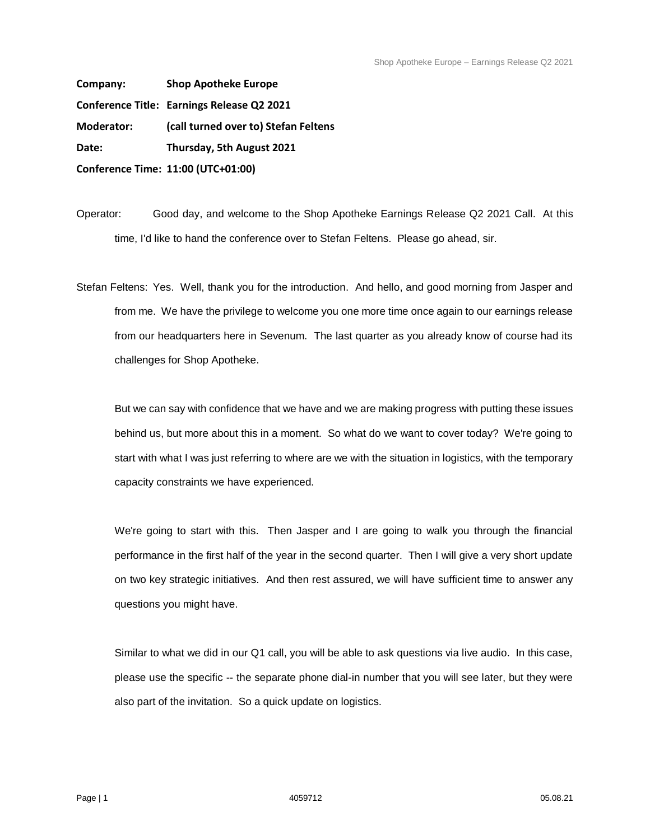**Company: Shop Apotheke Europe Conference Title: Earnings Release Q2 2021 Moderator: (call turned over to) Stefan Feltens Date: Thursday, 5th August 2021 Conference Time: 11:00 (UTC+01:00)** 

Operator: Good day, and welcome to the Shop Apotheke Earnings Release Q2 2021 Call. At this time, I'd like to hand the conference over to Stefan Feltens. Please go ahead, sir.

Stefan Feltens: Yes. Well, thank you for the introduction. And hello, and good morning from Jasper and from me. We have the privilege to welcome you one more time once again to our earnings release from our headquarters here in Sevenum. The last quarter as you already know of course had its challenges for Shop Apotheke.

But we can say with confidence that we have and we are making progress with putting these issues behind us, but more about this in a moment. So what do we want to cover today? We're going to start with what I was just referring to where are we with the situation in logistics, with the temporary capacity constraints we have experienced.

We're going to start with this. Then Jasper and I are going to walk you through the financial performance in the first half of the year in the second quarter. Then I will give a very short update on two key strategic initiatives. And then rest assured, we will have sufficient time to answer any questions you might have.

Similar to what we did in our Q1 call, you will be able to ask questions via live audio. In this case, please use the specific -- the separate phone dial-in number that you will see later, but they were also part of the invitation. So a quick update on logistics.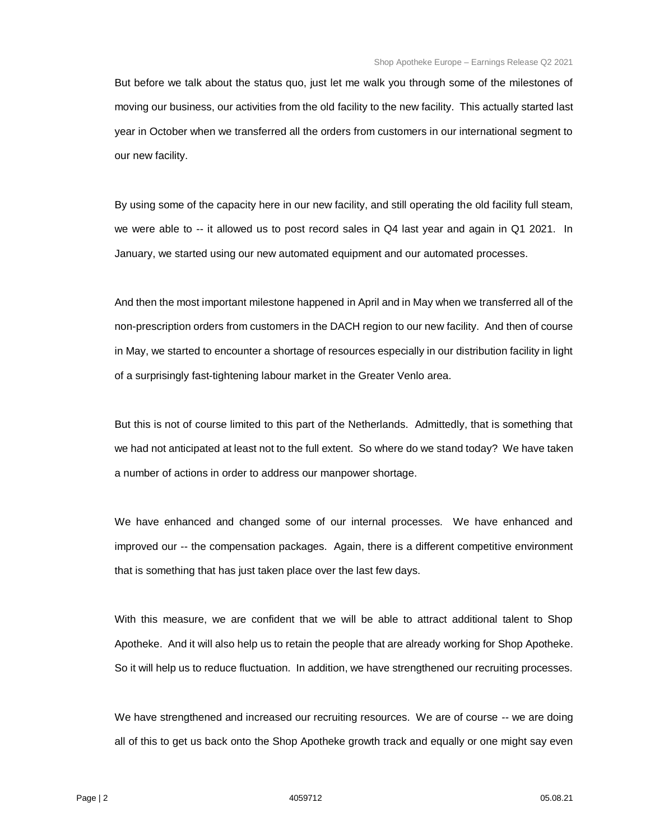But before we talk about the status quo, just let me walk you through some of the milestones of moving our business, our activities from the old facility to the new facility. This actually started last year in October when we transferred all the orders from customers in our international segment to our new facility.

By using some of the capacity here in our new facility, and still operating the old facility full steam, we were able to -- it allowed us to post record sales in Q4 last year and again in Q1 2021. In January, we started using our new automated equipment and our automated processes.

And then the most important milestone happened in April and in May when we transferred all of the non-prescription orders from customers in the DACH region to our new facility. And then of course in May, we started to encounter a shortage of resources especially in our distribution facility in light of a surprisingly fast-tightening labour market in the Greater Venlo area.

But this is not of course limited to this part of the Netherlands. Admittedly, that is something that we had not anticipated at least not to the full extent. So where do we stand today? We have taken a number of actions in order to address our manpower shortage.

We have enhanced and changed some of our internal processes. We have enhanced and improved our -- the compensation packages. Again, there is a different competitive environment that is something that has just taken place over the last few days.

With this measure, we are confident that we will be able to attract additional talent to Shop Apotheke. And it will also help us to retain the people that are already working for Shop Apotheke. So it will help us to reduce fluctuation. In addition, we have strengthened our recruiting processes.

We have strengthened and increased our recruiting resources. We are of course -- we are doing all of this to get us back onto the Shop Apotheke growth track and equally or one might say even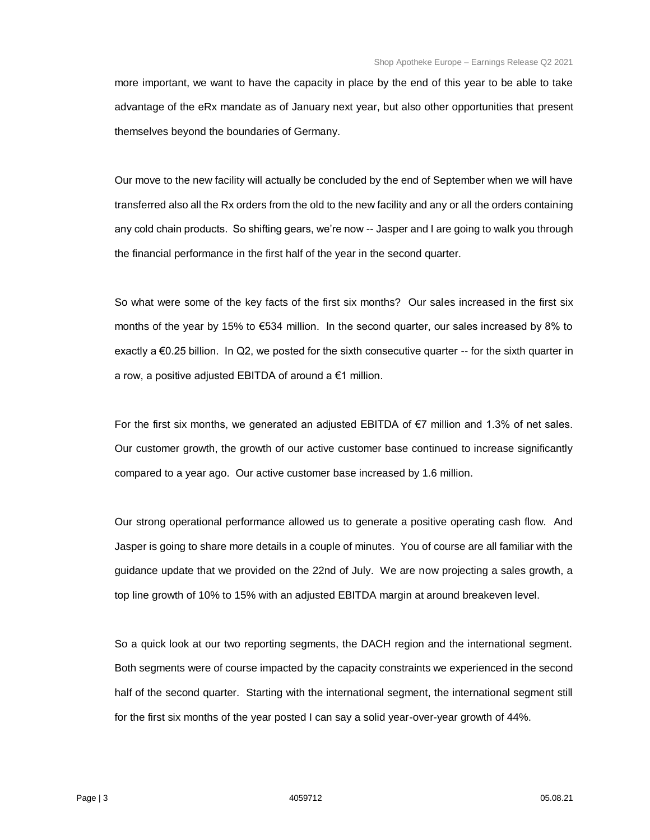more important, we want to have the capacity in place by the end of this year to be able to take advantage of the eRx mandate as of January next year, but also other opportunities that present themselves beyond the boundaries of Germany.

Our move to the new facility will actually be concluded by the end of September when we will have transferred also all the Rx orders from the old to the new facility and any or all the orders containing any cold chain products. So shifting gears, we're now -- Jasper and I are going to walk you through the financial performance in the first half of the year in the second quarter.

So what were some of the key facts of the first six months? Our sales increased in the first six months of the year by 15% to €534 million. In the second quarter, our sales increased by 8% to exactly a €0.25 billion. In Q2, we posted for the sixth consecutive quarter -- for the sixth quarter in a row, a positive adjusted EBITDA of around a €1 million.

For the first six months, we generated an adjusted EBITDA of  $\epsilon$ 7 million and 1.3% of net sales. Our customer growth, the growth of our active customer base continued to increase significantly compared to a year ago. Our active customer base increased by 1.6 million.

Our strong operational performance allowed us to generate a positive operating cash flow. And Jasper is going to share more details in a couple of minutes. You of course are all familiar with the guidance update that we provided on the 22nd of July. We are now projecting a sales growth, a top line growth of 10% to 15% with an adjusted EBITDA margin at around breakeven level.

So a quick look at our two reporting segments, the DACH region and the international segment. Both segments were of course impacted by the capacity constraints we experienced in the second half of the second quarter. Starting with the international segment, the international segment still for the first six months of the year posted I can say a solid year-over-year growth of 44%.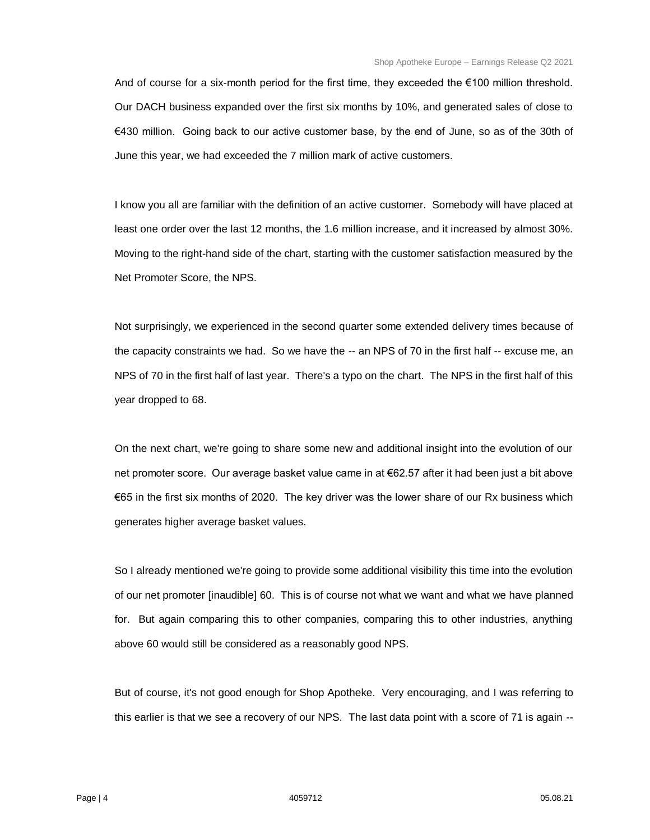And of course for a six-month period for the first time, they exceeded the €100 million threshold. Our DACH business expanded over the first six months by 10%, and generated sales of close to €430 million. Going back to our active customer base, by the end of June, so as of the 30th of June this year, we had exceeded the 7 million mark of active customers.

I know you all are familiar with the definition of an active customer. Somebody will have placed at least one order over the last 12 months, the 1.6 million increase, and it increased by almost 30%. Moving to the right-hand side of the chart, starting with the customer satisfaction measured by the Net Promoter Score, the NPS.

Not surprisingly, we experienced in the second quarter some extended delivery times because of the capacity constraints we had. So we have the -- an NPS of 70 in the first half -- excuse me, an NPS of 70 in the first half of last year. There's a typo on the chart. The NPS in the first half of this year dropped to 68.

On the next chart, we're going to share some new and additional insight into the evolution of our net promoter score. Our average basket value came in at €62.57 after it had been just a bit above €65 in the first six months of 2020. The key driver was the lower share of our Rx business which generates higher average basket values.

So I already mentioned we're going to provide some additional visibility this time into the evolution of our net promoter [inaudible] 60. This is of course not what we want and what we have planned for. But again comparing this to other companies, comparing this to other industries, anything above 60 would still be considered as a reasonably good NPS.

But of course, it's not good enough for Shop Apotheke. Very encouraging, and I was referring to this earlier is that we see a recovery of our NPS. The last data point with a score of 71 is again --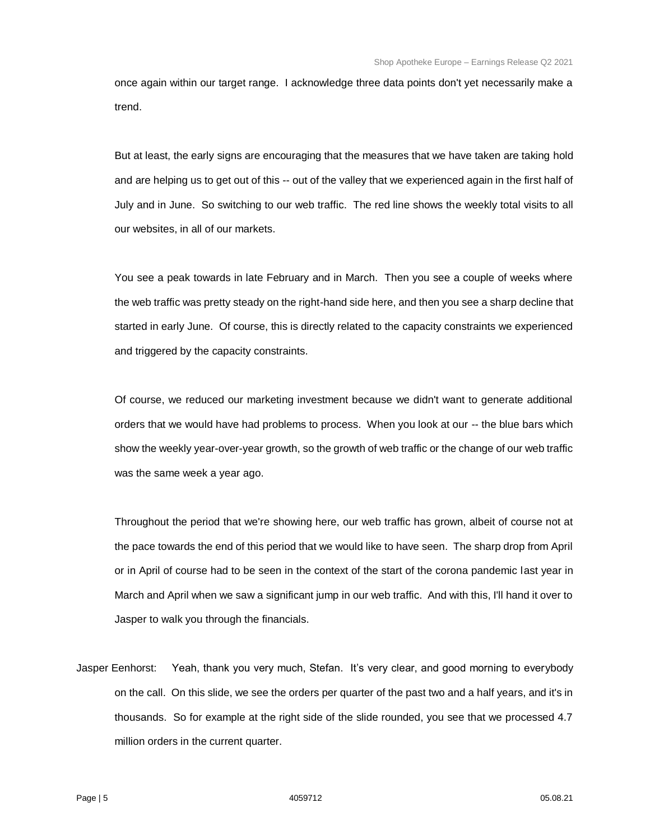once again within our target range. I acknowledge three data points don't yet necessarily make a trend.

But at least, the early signs are encouraging that the measures that we have taken are taking hold and are helping us to get out of this -- out of the valley that we experienced again in the first half of July and in June. So switching to our web traffic. The red line shows the weekly total visits to all our websites, in all of our markets.

You see a peak towards in late February and in March. Then you see a couple of weeks where the web traffic was pretty steady on the right-hand side here, and then you see a sharp decline that started in early June. Of course, this is directly related to the capacity constraints we experienced and triggered by the capacity constraints.

Of course, we reduced our marketing investment because we didn't want to generate additional orders that we would have had problems to process. When you look at our -- the blue bars which show the weekly year-over-year growth, so the growth of web traffic or the change of our web traffic was the same week a year ago.

Throughout the period that we're showing here, our web traffic has grown, albeit of course not at the pace towards the end of this period that we would like to have seen. The sharp drop from April or in April of course had to be seen in the context of the start of the corona pandemic last year in March and April when we saw a significant jump in our web traffic. And with this, I'll hand it over to Jasper to walk you through the financials.

Jasper Eenhorst: Yeah, thank you very much, Stefan. It's very clear, and good morning to everybody on the call. On this slide, we see the orders per quarter of the past two and a half years, and it's in thousands. So for example at the right side of the slide rounded, you see that we processed 4.7 million orders in the current quarter.

Page | 5 4059712 05.08.21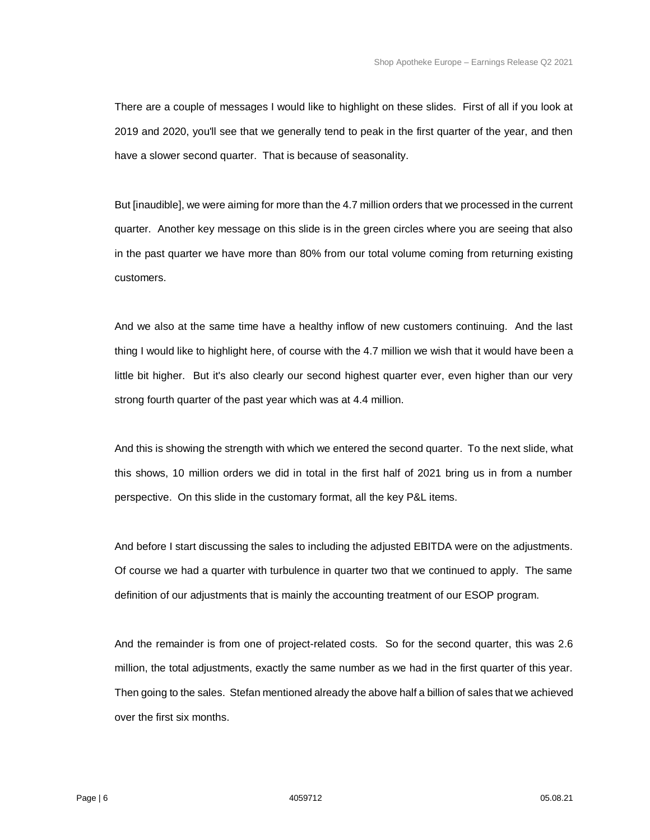There are a couple of messages I would like to highlight on these slides. First of all if you look at 2019 and 2020, you'll see that we generally tend to peak in the first quarter of the year, and then have a slower second quarter. That is because of seasonality.

But [inaudible], we were aiming for more than the 4.7 million orders that we processed in the current quarter. Another key message on this slide is in the green circles where you are seeing that also in the past quarter we have more than 80% from our total volume coming from returning existing customers.

And we also at the same time have a healthy inflow of new customers continuing. And the last thing I would like to highlight here, of course with the 4.7 million we wish that it would have been a little bit higher. But it's also clearly our second highest quarter ever, even higher than our very strong fourth quarter of the past year which was at 4.4 million.

And this is showing the strength with which we entered the second quarter. To the next slide, what this shows, 10 million orders we did in total in the first half of 2021 bring us in from a number perspective. On this slide in the customary format, all the key P&L items.

And before I start discussing the sales to including the adjusted EBITDA were on the adjustments. Of course we had a quarter with turbulence in quarter two that we continued to apply. The same definition of our adjustments that is mainly the accounting treatment of our ESOP program.

And the remainder is from one of project-related costs. So for the second quarter, this was 2.6 million, the total adjustments, exactly the same number as we had in the first quarter of this year. Then going to the sales. Stefan mentioned already the above half a billion of sales that we achieved over the first six months.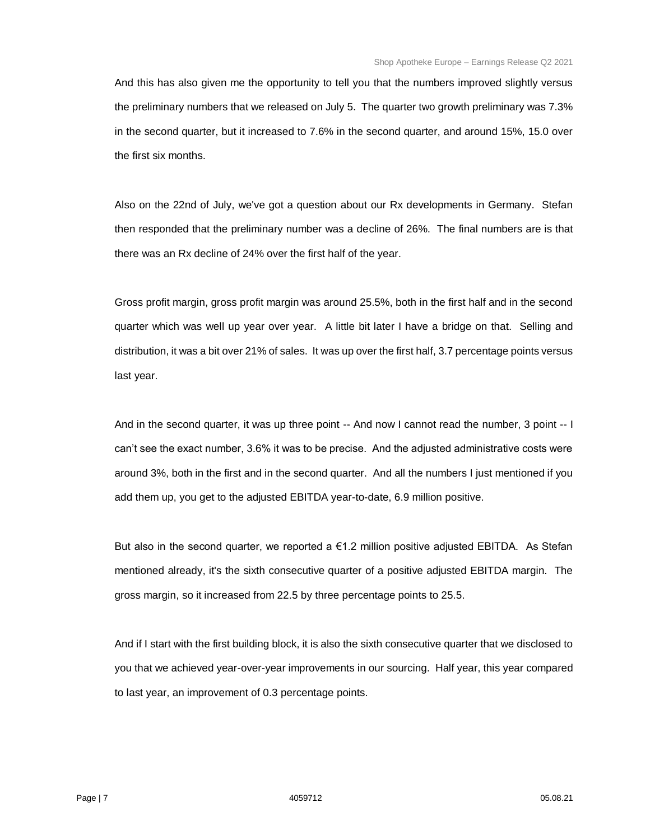And this has also given me the opportunity to tell you that the numbers improved slightly versus the preliminary numbers that we released on July 5. The quarter two growth preliminary was 7.3% in the second quarter, but it increased to 7.6% in the second quarter, and around 15%, 15.0 over the first six months.

Also on the 22nd of July, we've got a question about our Rx developments in Germany. Stefan then responded that the preliminary number was a decline of 26%. The final numbers are is that there was an Rx decline of 24% over the first half of the year.

Gross profit margin, gross profit margin was around 25.5%, both in the first half and in the second quarter which was well up year over year. A little bit later I have a bridge on that. Selling and distribution, it was a bit over 21% of sales. It was up over the first half, 3.7 percentage points versus last year.

And in the second quarter, it was up three point -- And now I cannot read the number, 3 point -- I can't see the exact number, 3.6% it was to be precise. And the adjusted administrative costs were around 3%, both in the first and in the second quarter. And all the numbers I just mentioned if you add them up, you get to the adjusted EBITDA year-to-date, 6.9 million positive.

But also in the second quarter, we reported a €1.2 million positive adjusted EBITDA. As Stefan mentioned already, it's the sixth consecutive quarter of a positive adjusted EBITDA margin. The gross margin, so it increased from 22.5 by three percentage points to 25.5.

And if I start with the first building block, it is also the sixth consecutive quarter that we disclosed to you that we achieved year-over-year improvements in our sourcing. Half year, this year compared to last year, an improvement of 0.3 percentage points.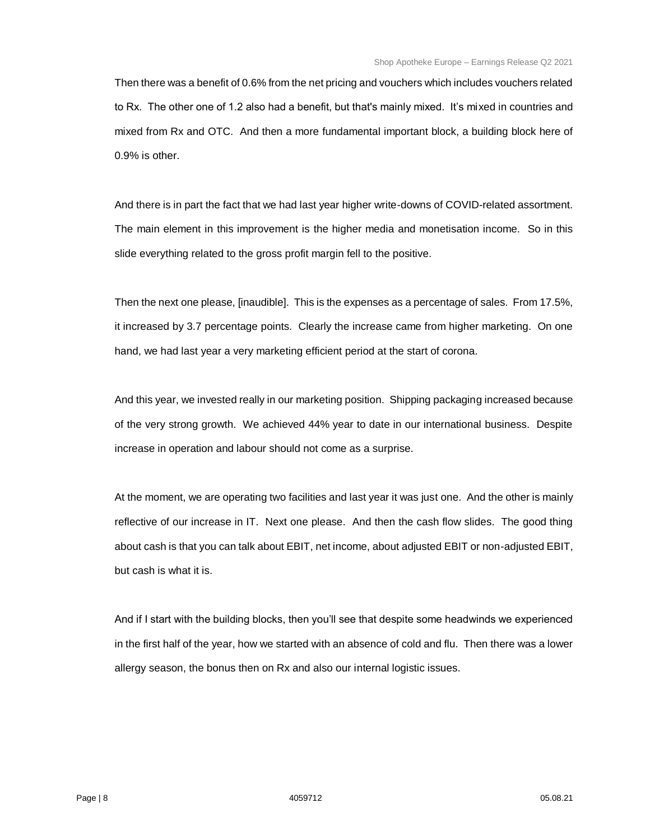Then there was a benefit of 0.6% from the net pricing and vouchers which includes vouchers related to Rx. The other one of 1.2 also had a benefit, but that's mainly mixed. It's mixed in countries and mixed from Rx and OTC. And then a more fundamental important block, a building block here of 0.9% is other.

And there is in part the fact that we had last year higher write-downs of COVID-related assortment. The main element in this improvement is the higher media and monetisation income. So in this slide everything related to the gross profit margin fell to the positive.

Then the next one please, [inaudible]. This is the expenses as a percentage of sales. From 17.5%, it increased by 3.7 percentage points. Clearly the increase came from higher marketing. On one hand, we had last year a very marketing efficient period at the start of corona.

And this year, we invested really in our marketing position. Shipping packaging increased because of the very strong growth. We achieved 44% year to date in our international business. Despite increase in operation and labour should not come as a surprise.

At the moment, we are operating two facilities and last year it was just one. And the other is mainly reflective of our increase in IT. Next one please. And then the cash flow slides. The good thing about cash is that you can talk about EBIT, net income, about adjusted EBIT or non-adjusted EBIT, but cash is what it is.

And if I start with the building blocks, then you'll see that despite some headwinds we experienced in the first half of the year, how we started with an absence of cold and flu. Then there was a lower allergy season, the bonus then on Rx and also our internal logistic issues.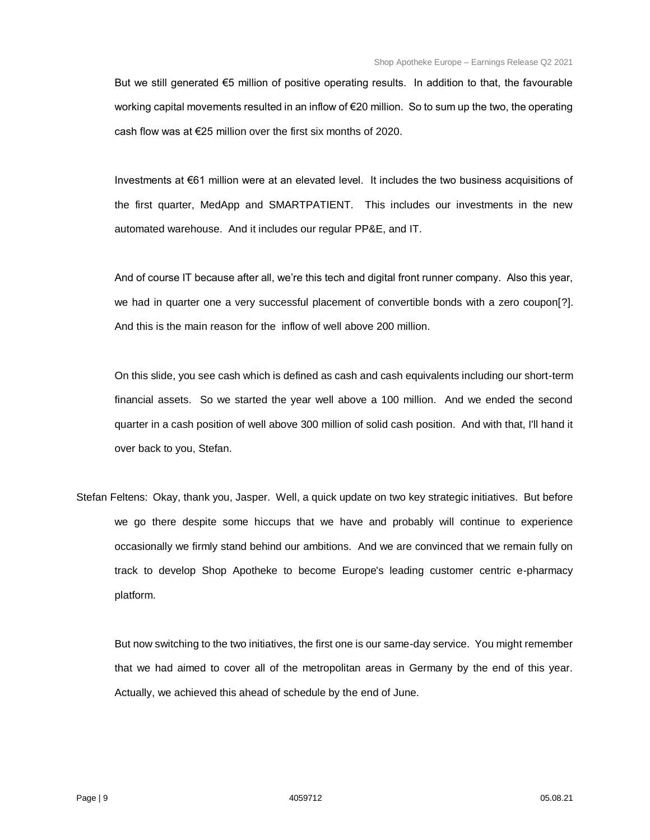But we still generated €5 million of positive operating results. In addition to that, the favourable working capital movements resulted in an inflow of €20 million. So to sum up the two, the operating cash flow was at €25 million over the first six months of 2020.

Investments at €61 million were at an elevated level. It includes the two business acquisitions of the first quarter, MedApp and SMARTPATIENT. This includes our investments in the new automated warehouse. And it includes our regular PP&E, and IT.

And of course IT because after all, we're this tech and digital front runner company. Also this year, we had in quarter one a very successful placement of convertible bonds with a zero coupon[?]. And this is the main reason for the inflow of well above 200 million.

On this slide, you see cash which is defined as cash and cash equivalents including our short-term financial assets. So we started the year well above a 100 million. And we ended the second quarter in a cash position of well above 300 million of solid cash position. And with that, I'll hand it over back to you, Stefan.

Stefan Feltens: Okay, thank you, Jasper. Well, a quick update on two key strategic initiatives. But before we go there despite some hiccups that we have and probably will continue to experience occasionally we firmly stand behind our ambitions. And we are convinced that we remain fully on track to develop Shop Apotheke to become Europe's leading customer centric e-pharmacy platform.

But now switching to the two initiatives, the first one is our same-day service. You might remember that we had aimed to cover all of the metropolitan areas in Germany by the end of this year. Actually, we achieved this ahead of schedule by the end of June.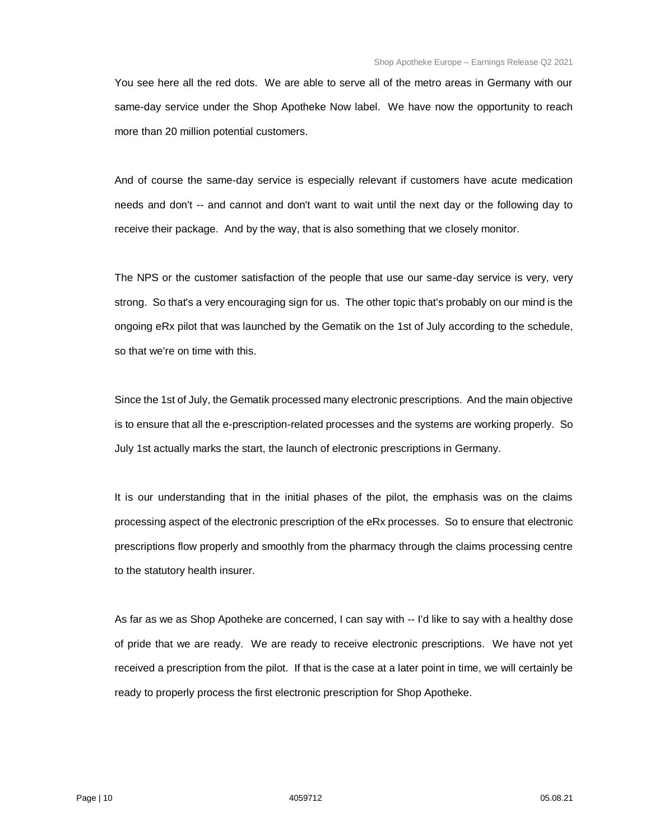You see here all the red dots. We are able to serve all of the metro areas in Germany with our same-day service under the Shop Apotheke Now label. We have now the opportunity to reach more than 20 million potential customers.

And of course the same-day service is especially relevant if customers have acute medication needs and don't -- and cannot and don't want to wait until the next day or the following day to receive their package. And by the way, that is also something that we closely monitor.

The NPS or the customer satisfaction of the people that use our same-day service is very, very strong. So that's a very encouraging sign for us. The other topic that's probably on our mind is the ongoing eRx pilot that was launched by the Gematik on the 1st of July according to the schedule, so that we're on time with this.

Since the 1st of July, the Gematik processed many electronic prescriptions. And the main objective is to ensure that all the e-prescription-related processes and the systems are working properly. So July 1st actually marks the start, the launch of electronic prescriptions in Germany.

It is our understanding that in the initial phases of the pilot, the emphasis was on the claims processing aspect of the electronic prescription of the eRx processes. So to ensure that electronic prescriptions flow properly and smoothly from the pharmacy through the claims processing centre to the statutory health insurer.

As far as we as Shop Apotheke are concerned, I can say with -- I'd like to say with a healthy dose of pride that we are ready. We are ready to receive electronic prescriptions. We have not yet received a prescription from the pilot. If that is the case at a later point in time, we will certainly be ready to properly process the first electronic prescription for Shop Apotheke.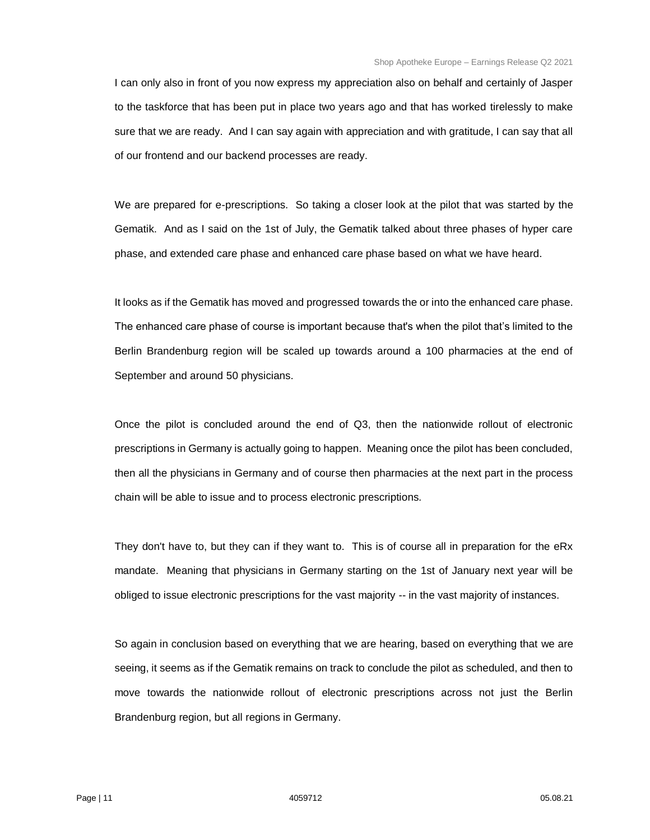I can only also in front of you now express my appreciation also on behalf and certainly of Jasper to the taskforce that has been put in place two years ago and that has worked tirelessly to make sure that we are ready. And I can say again with appreciation and with gratitude, I can say that all of our frontend and our backend processes are ready.

We are prepared for e-prescriptions. So taking a closer look at the pilot that was started by the Gematik. And as I said on the 1st of July, the Gematik talked about three phases of hyper care phase, and extended care phase and enhanced care phase based on what we have heard.

It looks as if the Gematik has moved and progressed towards the or into the enhanced care phase. The enhanced care phase of course is important because that's when the pilot that's limited to the Berlin Brandenburg region will be scaled up towards around a 100 pharmacies at the end of September and around 50 physicians.

Once the pilot is concluded around the end of Q3, then the nationwide rollout of electronic prescriptions in Germany is actually going to happen. Meaning once the pilot has been concluded, then all the physicians in Germany and of course then pharmacies at the next part in the process chain will be able to issue and to process electronic prescriptions.

They don't have to, but they can if they want to. This is of course all in preparation for the eRx mandate. Meaning that physicians in Germany starting on the 1st of January next year will be obliged to issue electronic prescriptions for the vast majority -- in the vast majority of instances.

So again in conclusion based on everything that we are hearing, based on everything that we are seeing, it seems as if the Gematik remains on track to conclude the pilot as scheduled, and then to move towards the nationwide rollout of electronic prescriptions across not just the Berlin Brandenburg region, but all regions in Germany.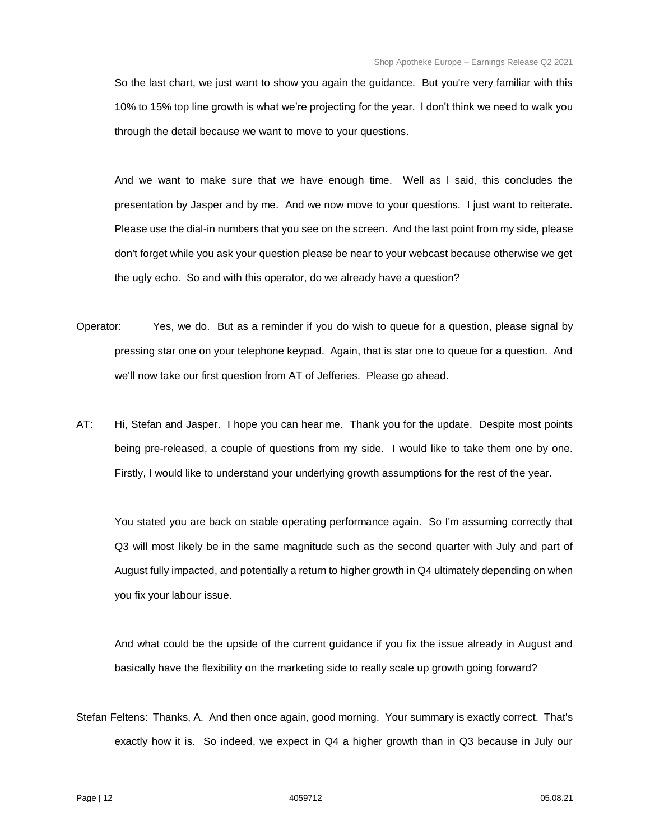So the last chart, we just want to show you again the guidance. But you're very familiar with this 10% to 15% top line growth is what we're projecting for the year. I don't think we need to walk you through the detail because we want to move to your questions.

And we want to make sure that we have enough time. Well as I said, this concludes the presentation by Jasper and by me. And we now move to your questions. I just want to reiterate. Please use the dial-in numbers that you see on the screen. And the last point from my side, please don't forget while you ask your question please be near to your webcast because otherwise we get the ugly echo. So and with this operator, do we already have a question?

- Operator: Yes, we do. But as a reminder if you do wish to queue for a question, please signal by pressing star one on your telephone keypad. Again, that is star one to queue for a question. And we'll now take our first question from AT of Jefferies. Please go ahead.
- AT: Hi, Stefan and Jasper. I hope you can hear me. Thank you for the update. Despite most points being pre-released, a couple of questions from my side. I would like to take them one by one. Firstly, I would like to understand your underlying growth assumptions for the rest of the year.

You stated you are back on stable operating performance again. So I'm assuming correctly that Q3 will most likely be in the same magnitude such as the second quarter with July and part of August fully impacted, and potentially a return to higher growth in Q4 ultimately depending on when you fix your labour issue.

And what could be the upside of the current guidance if you fix the issue already in August and basically have the flexibility on the marketing side to really scale up growth going forward?

Stefan Feltens: Thanks, A. And then once again, good morning. Your summary is exactly correct. That's exactly how it is. So indeed, we expect in Q4 a higher growth than in Q3 because in July our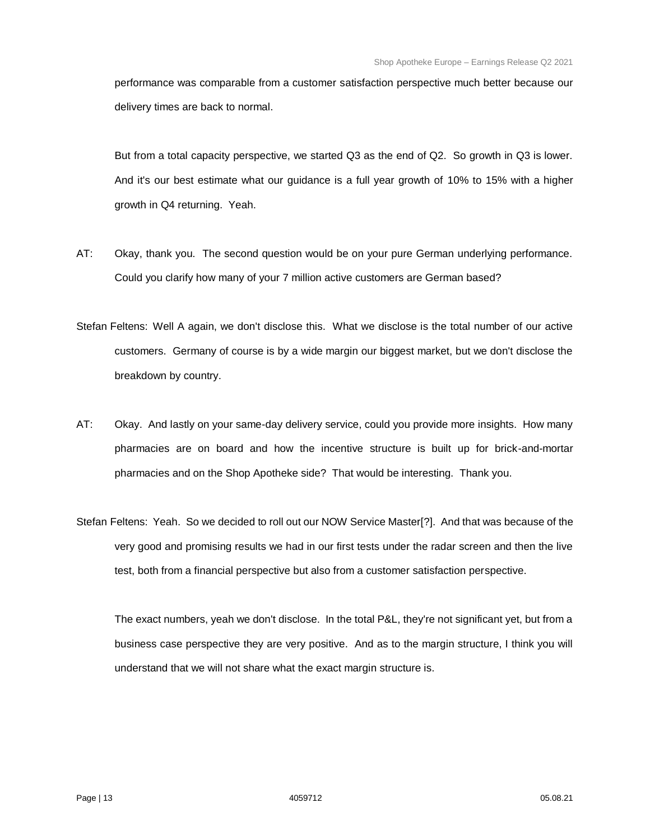performance was comparable from a customer satisfaction perspective much better because our delivery times are back to normal.

But from a total capacity perspective, we started Q3 as the end of Q2. So growth in Q3 is lower. And it's our best estimate what our guidance is a full year growth of 10% to 15% with a higher growth in Q4 returning. Yeah.

- AT: Okay, thank you. The second question would be on your pure German underlying performance. Could you clarify how many of your 7 million active customers are German based?
- Stefan Feltens: Well A again, we don't disclose this. What we disclose is the total number of our active customers. Germany of course is by a wide margin our biggest market, but we don't disclose the breakdown by country.
- AT: Okay. And lastly on your same-day delivery service, could you provide more insights. How many pharmacies are on board and how the incentive structure is built up for brick-and-mortar pharmacies and on the Shop Apotheke side? That would be interesting. Thank you.
- Stefan Feltens: Yeah. So we decided to roll out our NOW Service Master[?]. And that was because of the very good and promising results we had in our first tests under the radar screen and then the live test, both from a financial perspective but also from a customer satisfaction perspective.

The exact numbers, yeah we don't disclose. In the total P&L, they're not significant yet, but from a business case perspective they are very positive. And as to the margin structure, I think you will understand that we will not share what the exact margin structure is.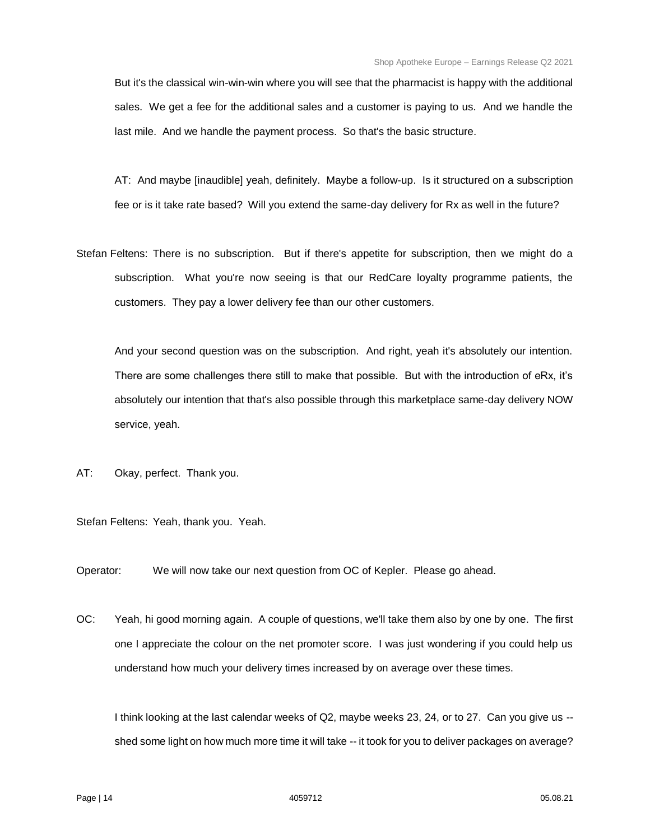But it's the classical win-win-win where you will see that the pharmacist is happy with the additional sales. We get a fee for the additional sales and a customer is paying to us. And we handle the last mile. And we handle the payment process. So that's the basic structure.

AT: And maybe [inaudible] yeah, definitely. Maybe a follow-up. Is it structured on a subscription fee or is it take rate based? Will you extend the same-day delivery for Rx as well in the future?

Stefan Feltens: There is no subscription. But if there's appetite for subscription, then we might do a subscription. What you're now seeing is that our RedCare loyalty programme patients, the customers. They pay a lower delivery fee than our other customers.

And your second question was on the subscription. And right, yeah it's absolutely our intention. There are some challenges there still to make that possible. But with the introduction of eRx, it's absolutely our intention that that's also possible through this marketplace same-day delivery NOW service, yeah.

AT: Okay, perfect. Thank you.

Stefan Feltens: Yeah, thank you. Yeah.

Operator: We will now take our next question from OC of Kepler. Please go ahead.

OC: Yeah, hi good morning again. A couple of questions, we'll take them also by one by one. The first one I appreciate the colour on the net promoter score. I was just wondering if you could help us understand how much your delivery times increased by on average over these times.

I think looking at the last calendar weeks of Q2, maybe weeks 23, 24, or to 27. Can you give us - shed some light on how much more time it will take -- it took for you to deliver packages on average?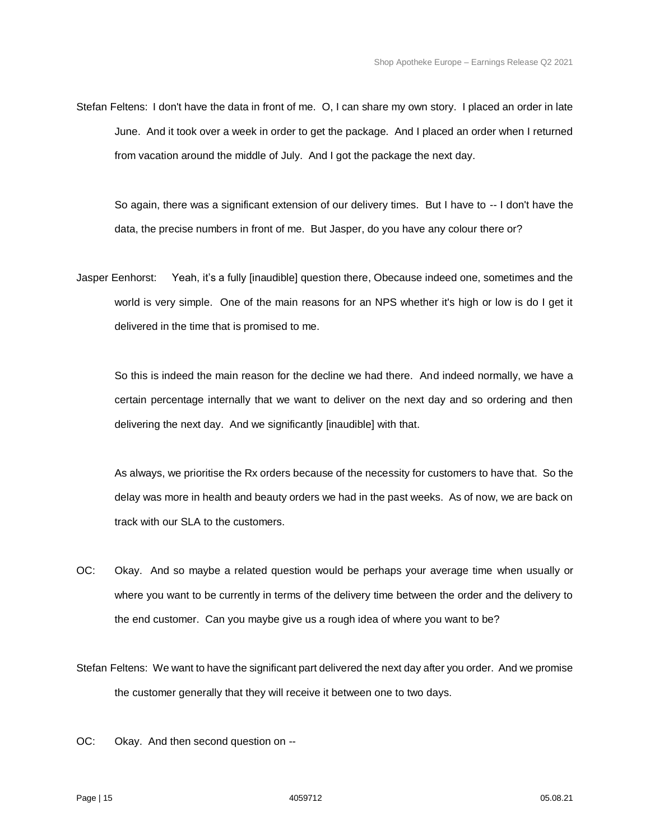Stefan Feltens: I don't have the data in front of me. O, I can share my own story. I placed an order in late June. And it took over a week in order to get the package. And I placed an order when I returned from vacation around the middle of July. And I got the package the next day.

So again, there was a significant extension of our delivery times. But I have to -- I don't have the data, the precise numbers in front of me. But Jasper, do you have any colour there or?

Jasper Eenhorst: Yeah, it's a fully [inaudible] question there, Obecause indeed one, sometimes and the world is very simple. One of the main reasons for an NPS whether it's high or low is do I get it delivered in the time that is promised to me.

So this is indeed the main reason for the decline we had there. And indeed normally, we have a certain percentage internally that we want to deliver on the next day and so ordering and then delivering the next day. And we significantly [inaudible] with that.

As always, we prioritise the Rx orders because of the necessity for customers to have that. So the delay was more in health and beauty orders we had in the past weeks. As of now, we are back on track with our SLA to the customers.

- OC: Okay. And so maybe a related question would be perhaps your average time when usually or where you want to be currently in terms of the delivery time between the order and the delivery to the end customer. Can you maybe give us a rough idea of where you want to be?
- Stefan Feltens: We want to have the significant part delivered the next day after you order. And we promise the customer generally that they will receive it between one to two days.
- OC: Okay. And then second question on --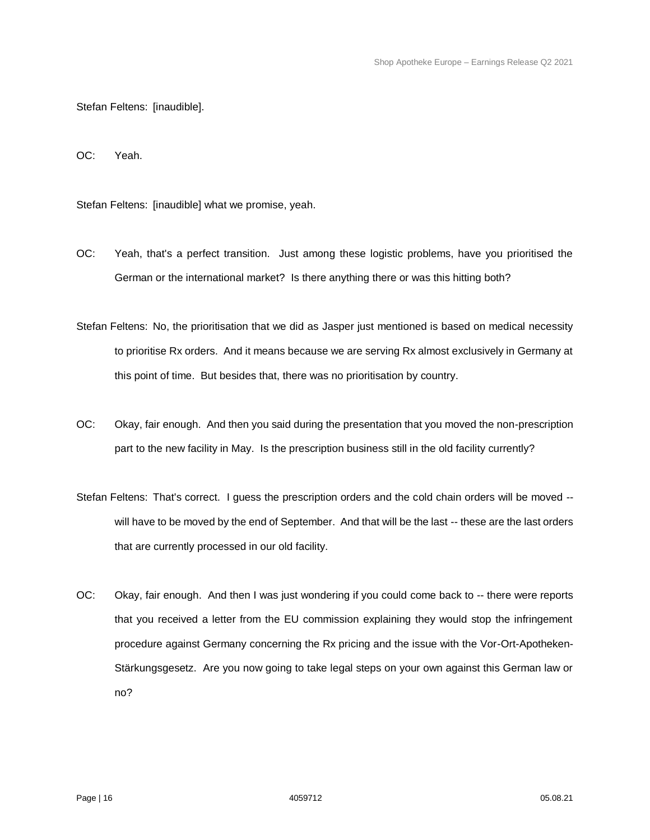Stefan Feltens: [inaudible].

OC: Yeah.

Stefan Feltens: [inaudible] what we promise, yeah.

- OC: Yeah, that's a perfect transition. Just among these logistic problems, have you prioritised the German or the international market? Is there anything there or was this hitting both?
- Stefan Feltens: No, the prioritisation that we did as Jasper just mentioned is based on medical necessity to prioritise Rx orders. And it means because we are serving Rx almost exclusively in Germany at this point of time. But besides that, there was no prioritisation by country.
- OC: Okay, fair enough. And then you said during the presentation that you moved the non-prescription part to the new facility in May. Is the prescription business still in the old facility currently?
- Stefan Feltens: That's correct. I guess the prescription orders and the cold chain orders will be moved -will have to be moved by the end of September. And that will be the last -- these are the last orders that are currently processed in our old facility.
- OC: Okay, fair enough. And then I was just wondering if you could come back to -- there were reports that you received a letter from the EU commission explaining they would stop the infringement procedure against Germany concerning the Rx pricing and the issue with the Vor-Ort-Apotheken-Stärkungsgesetz. Are you now going to take legal steps on your own against this German law or no?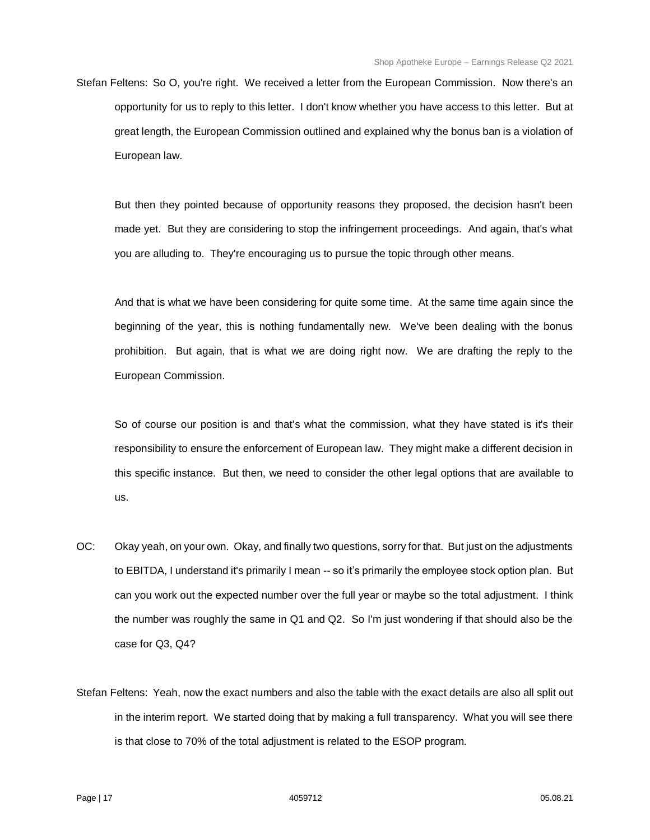Stefan Feltens: So O, you're right. We received a letter from the European Commission. Now there's an opportunity for us to reply to this letter. I don't know whether you have access to this letter. But at great length, the European Commission outlined and explained why the bonus ban is a violation of European law.

But then they pointed because of opportunity reasons they proposed, the decision hasn't been made yet. But they are considering to stop the infringement proceedings. And again, that's what you are alluding to. They're encouraging us to pursue the topic through other means.

And that is what we have been considering for quite some time. At the same time again since the beginning of the year, this is nothing fundamentally new. We've been dealing with the bonus prohibition. But again, that is what we are doing right now. We are drafting the reply to the European Commission.

So of course our position is and that's what the commission, what they have stated is it's their responsibility to ensure the enforcement of European law. They might make a different decision in this specific instance. But then, we need to consider the other legal options that are available to us.

- OC: Okay yeah, on your own. Okay, and finally two questions, sorry for that. But just on the adjustments to EBITDA, I understand it's primarily I mean -- so it's primarily the employee stock option plan. But can you work out the expected number over the full year or maybe so the total adjustment. I think the number was roughly the same in Q1 and Q2. So I'm just wondering if that should also be the case for Q3, Q4?
- Stefan Feltens: Yeah, now the exact numbers and also the table with the exact details are also all split out in the interim report. We started doing that by making a full transparency. What you will see there is that close to 70% of the total adjustment is related to the ESOP program.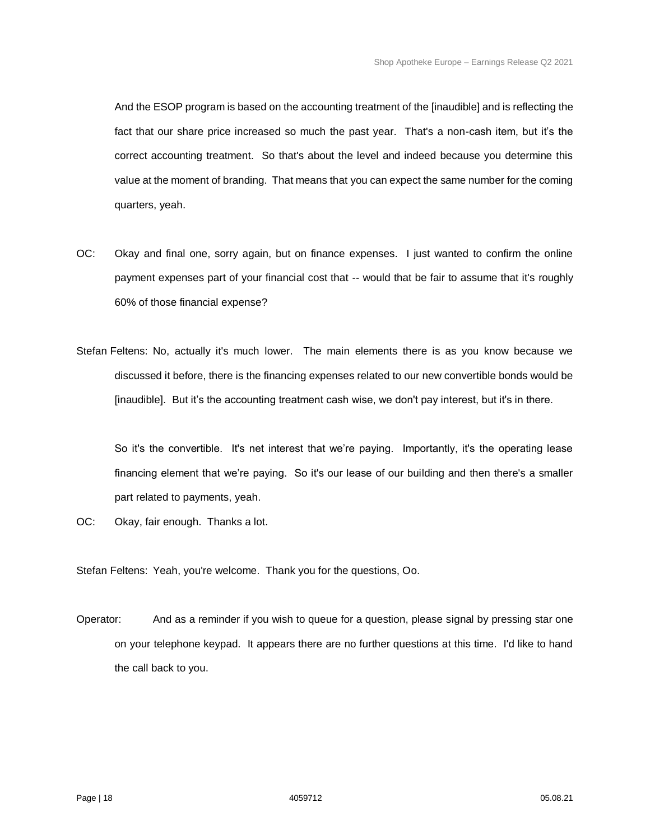And the ESOP program is based on the accounting treatment of the [inaudible] and is reflecting the fact that our share price increased so much the past year. That's a non-cash item, but it's the correct accounting treatment. So that's about the level and indeed because you determine this value at the moment of branding. That means that you can expect the same number for the coming quarters, yeah.

- OC: Okay and final one, sorry again, but on finance expenses. I just wanted to confirm the online payment expenses part of your financial cost that -- would that be fair to assume that it's roughly 60% of those financial expense?
- Stefan Feltens: No, actually it's much lower. The main elements there is as you know because we discussed it before, there is the financing expenses related to our new convertible bonds would be [inaudible]. But it's the accounting treatment cash wise, we don't pay interest, but it's in there.

So it's the convertible. It's net interest that we're paying. Importantly, it's the operating lease financing element that we're paying. So it's our lease of our building and then there's a smaller part related to payments, yeah.

OC: Okay, fair enough. Thanks a lot.

Stefan Feltens: Yeah, you're welcome. Thank you for the questions, Oo.

Operator: And as a reminder if you wish to queue for a question, please signal by pressing star one on your telephone keypad. It appears there are no further questions at this time. I'd like to hand the call back to you.